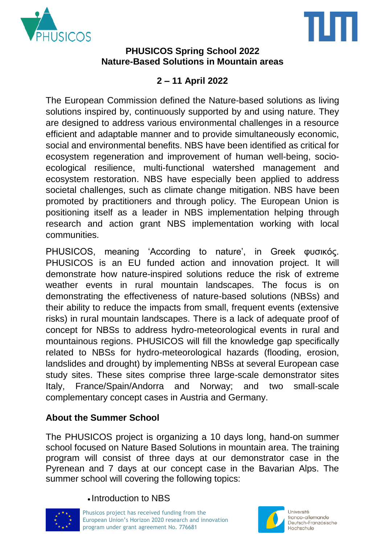



### **PHUSICOS Spring School 2022 Nature-Based Solutions in Mountain areas**

# **2 – 11 April 2022**

The European Commission defined the Nature-based solutions as living solutions inspired by, continuously supported by and using nature. They are designed to address various environmental challenges in a resource efficient and adaptable manner and to provide simultaneously economic, social and environmental benefits. NBS have been identified as critical for ecosystem regeneration and improvement of human well-being, socioecological resilience, multi-functional watershed management and ecosystem restoration. NBS have especially been applied to address societal challenges, such as climate change mitigation. NBS have been promoted by practitioners and through policy. The European Union is positioning itself as a leader in NBS implementation helping through research and action grant NBS implementation working with local communities.

PHUSICOS, meaning 'According to nature', in Greek φυσικός. PHUSICOS is an EU funded action and innovation project. It will demonstrate how nature-inspired solutions reduce the risk of extreme weather events in rural mountain landscapes. The focus is on demonstrating the effectiveness of nature-based solutions (NBSs) and their ability to reduce the impacts from small, frequent events (extensive risks) in rural mountain landscapes. There is a lack of adequate proof of concept for NBSs to address hydro-meteorological events in rural and mountainous regions. PHUSICOS will fill the knowledge gap specifically related to NBSs for hydro-meteorological hazards (flooding, erosion, landslides and drought) by implementing NBSs at several European case study sites. These sites comprise three large-scale demonstrator sites Italy, France/Spain/Andorra and Norway; and two small-scale complementary concept cases in Austria and Germany.

## **About the Summer School**

The PHUSICOS project is organizing a 10 days long, hand-on summer school focused on Nature Based Solutions in mountain area. The training program will consist of three days at our demonstrator case in the Pyrenean and 7 days at our concept case in the Bavarian Alps. The summer school will covering the following topics:

## • Introduction to NBS



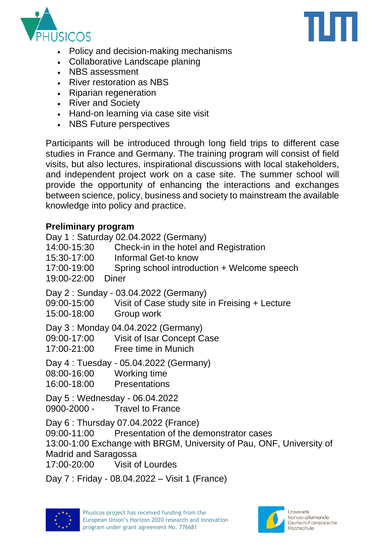



- Policy and decision-making mechanisms
- Collaborative Landscape planing
- NBS assessment
- River restoration as NBS
- Riparian regeneration
- River and Society
- Hand-on learning via case site visit
- NBS Future perspectives

Participants will be introduced through long field trips to different case studies in France and Germany. The training program will consist of field visits, but also lectures, inspirational discussions with local stakeholders, and independent project work on a case site. The summer school will provide the opportunity of enhancing the interactions and exchanges between science, policy, business and society to mainstream the available knowledge into policy and practice.

## **Preliminary program**

Day 1 : Saturday 02.04.2022 (Germany) 14:00-15:30 Check-in in the hotel and Registration 15:30-17:00 Informal Get-to know 17:00-19:00 Spring school introduction + Welcome speech 19:00-22:00 Diner Day 2 : Sunday - 03.04.2022 (Germany) 09:00-15:00 Visit of Case study site in Freising + Lecture 15:00-18:00 Group work Day 3 : Monday 04.04.2022 (Germany) 09:00-17:00 Visit of Isar Concept Case 17:00-21:00 Free time in Munich Day 4 : Tuesday - 05.04.2022 (Germany) 08:00-16:00 Working time 16:00-18:00 Presentations Day 5 : Wednesday - 06.04.2022 0900-2000 - Travel to France Day 6 : Thursday 07.04.2022 (France) 09:00-11:00 Presentation of the demonstrator cases 13:00-1:00 Exchange with BRGM, University of Pau, ONF, University of Madrid and Saragossa 17:00-20:00 Visit of Lourdes

Day 7 : Friday - 08.04.2022 – Visit 1 (France)



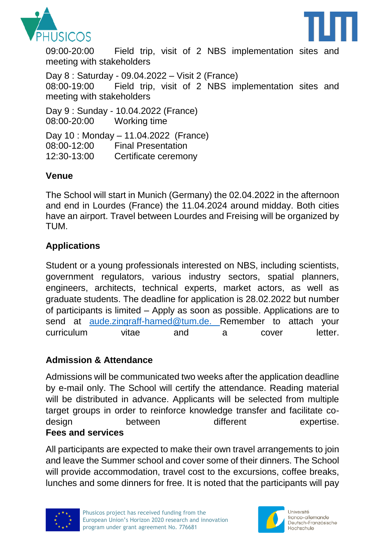



09:00-20:00 Field trip, visit of 2 NBS implementation sites and meeting with stakeholders

Day 8 : Saturday - 09.04.2022 – Visit 2 (France) 08:00-19:00 Field trip, visit of 2 NBS implementation sites and meeting with stakeholders

Day 9 : Sunday - 10.04.2022 (France) 08:00-20:00 Working time

Day 10 : Monday – 11.04.2022 (France) 08:00-12:00 Final Presentation 12:30-13:00 Certificate ceremony

## **Venue**

The School will start in Munich (Germany) the 02.04.2022 in the afternoon and end in Lourdes (France) the 11.04.2024 around midday. Both cities have an airport. Travel between Lourdes and Freising will be organized by TUM.

# **Applications**

Student or a young professionals interested on NBS, including scientists, government regulators, various industry sectors, spatial planners, engineers, architects, technical experts, market actors, as well as graduate students. The deadline for application is 28.02.2022 but number of participants is limited – Apply as soon as possible. Applications are to send at [aude.zingraff-hamed@tum.de.](mailto:aude.zingraff-hamed@tum.de) Remember to attach your curriculum vitae and a cover letter.

# **Admission & Attendance**

Admissions will be communicated two weeks after the application deadline by e-mail only. The School will certify the attendance. Reading material will be distributed in advance. Applicants will be selected from multiple target groups in order to reinforce knowledge transfer and facilitate codesign between different expertise. **Fees and services**

All participants are expected to make their own travel arrangements to join and leave the Summer school and cover some of their dinners. The School will provide accommodation, travel cost to the excursions, coffee breaks, lunches and some dinners for free. It is noted that the participants will pay